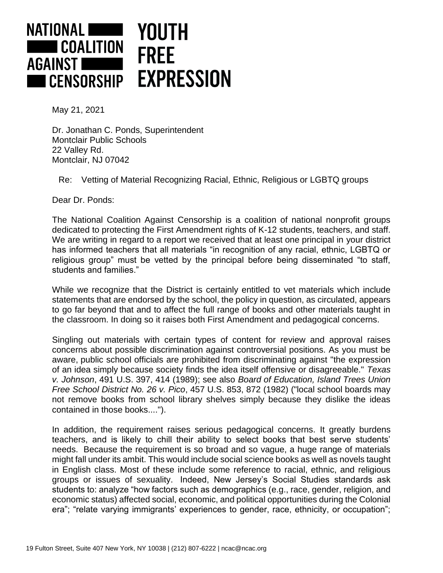

May 21, 2021

Dr. Jonathan C. Ponds, Superintendent Montclair Public Schools 22 Valley Rd. Montclair, NJ 07042

Re: Vetting of Material Recognizing Racial, Ethnic, Religious or LGBTQ groups

Dear Dr. Ponds:

The National Coalition Against Censorship is a coalition of national nonprofit groups dedicated to protecting the First Amendment rights of K-12 students, teachers, and staff. We are writing in regard to a report we received that at least one principal in your district has informed teachers that all materials "in recognition of any racial, ethnic, LGBTQ or religious group" must be vetted by the principal before being disseminated "to staff, students and families."

While we recognize that the District is certainly entitled to vet materials which include statements that are endorsed by the school, the policy in question, as circulated, appears to go far beyond that and to affect the full range of books and other materials taught in the classroom. In doing so it raises both First Amendment and pedagogical concerns.

Singling out materials with certain types of content for review and approval raises concerns about possible discrimination against controversial positions. As you must be aware, public school officials are prohibited from discriminating against "the expression of an idea simply because society finds the idea itself offensive or disagreeable." *Texas v. Johnson*, 491 U.S. 397, 414 (1989); see also *Board of Education, Island Trees Union Free School District No. 26 v. Pico*, 457 U.S. 853, 872 (1982) ("local school boards may not remove books from school library shelves simply because they dislike the ideas contained in those books....").

In addition, the requirement raises serious pedagogical concerns. It greatly burdens teachers, and is likely to chill their ability to select books that best serve students' needs. Because the requirement is so broad and so vague, a huge range of materials might fall under its ambit. This would include social science books as well as novels taught in English class. Most of these include some reference to racial, ethnic, and religious groups or issues of sexuality. Indeed, New Jersey's Social Studies standards ask students to: analyze "how factors such as demographics (e.g., race, gender, religion, and economic status) affected social, economic, and political opportunities during the Colonial era"; "relate varying immigrants' experiences to gender, race, ethnicity, or occupation";